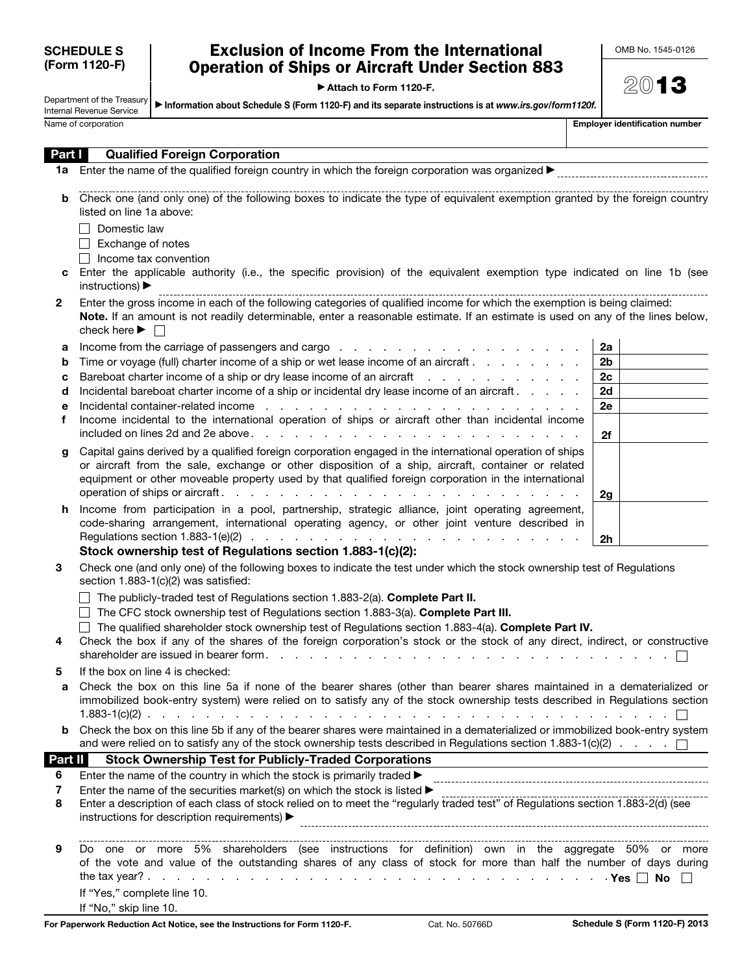| <b>SCHEDULE S</b> |
|-------------------|
| (Form 1120-F)     |

## Exclusion of Income From the International Operation of Ships or Aircraft Under Section 883

▶ Attach to Form 1120-F.

| OMB No. 1545-0126 |  |
|-------------------|--|
|-------------------|--|

Department of the Treasury Internal Revenue Service ▶ Information about Schedule S (Form 1120-F) and its separate instructions is at *www.irs.gov/form1120f.*

Name of corporation

|  | Employer identification number |  |
|--|--------------------------------|--|
|  |                                |  |

| Part I       | <b>Qualified Foreign Corporation</b>                                                                                                                                                                                                                                                                                             |                |  |
|--------------|----------------------------------------------------------------------------------------------------------------------------------------------------------------------------------------------------------------------------------------------------------------------------------------------------------------------------------|----------------|--|
|              |                                                                                                                                                                                                                                                                                                                                  |                |  |
| b            | Check one (and only one) of the following boxes to indicate the type of equivalent exemption granted by the foreign country<br>listed on line 1a above:                                                                                                                                                                          |                |  |
|              | Domestic law                                                                                                                                                                                                                                                                                                                     |                |  |
|              | Exchange of notes                                                                                                                                                                                                                                                                                                                |                |  |
|              | Income tax convention<br>$\Box$                                                                                                                                                                                                                                                                                                  |                |  |
|              | Enter the applicable authority (i.e., the specific provision) of the equivalent exemption type indicated on line 1b (see<br>instructions) $\blacktriangleright$                                                                                                                                                                  |                |  |
| $\mathbf{2}$ | Enter the gross income in each of the following categories of qualified income for which the exemption is being claimed:<br>Note. If an amount is not readily determinable, enter a reasonable estimate. If an estimate is used on any of the lines below,<br>check here $\blacktriangleright \Box$                              |                |  |
| а            |                                                                                                                                                                                                                                                                                                                                  | 2a             |  |
| b            | Time or voyage (full) charter income of a ship or wet lease income of an aircraft                                                                                                                                                                                                                                                | 2 <sub>b</sub> |  |
| с            | Bareboat charter income of a ship or dry lease income of an aircraft                                                                                                                                                                                                                                                             | 2c             |  |
| d            | Incidental bareboat charter income of a ship or incidental dry lease income of an aircraft.                                                                                                                                                                                                                                      | 2d             |  |
| е            | Incidental container-related income entering to the contract of the container related income entering to the container related income entering to the container related in the containing of the containing of the containing                                                                                                    | 2e             |  |
| f            | Income incidental to the international operation of ships or aircraft other than incidental income                                                                                                                                                                                                                               | 2f             |  |
| g            | Capital gains derived by a qualified foreign corporation engaged in the international operation of ships<br>or aircraft from the sale, exchange or other disposition of a ship, aircraft, container or related<br>equipment or other moveable property used by that qualified foreign corporation in the international           |                |  |
|              |                                                                                                                                                                                                                                                                                                                                  | 2g             |  |
| h.           | Income from participation in a pool, partnership, strategic alliance, joint operating agreement,<br>code-sharing arrangement, international operating agency, or other joint venture described in<br>Regulations section 1.883-1(e)(2) $\ldots$ $\ldots$ $\ldots$ $\ldots$ $\ldots$ $\ldots$ $\ldots$ $\ldots$ $\ldots$ $\ldots$ | 2h             |  |
|              | Stock ownership test of Regulations section 1.883-1(c)(2):                                                                                                                                                                                                                                                                       |                |  |
| 3            | Check one (and only one) of the following boxes to indicate the test under which the stock ownership test of Regulations<br>section 1.883-1(c)(2) was satisfied:                                                                                                                                                                 |                |  |
|              | The publicly-traded test of Regulations section 1.883-2(a). Complete Part II.<br>$\Box$ The CFC stock ownership test of Regulations section 1.883-3(a). Complete Part III.                                                                                                                                                       |                |  |
|              | The qualified shareholder stock ownership test of Regulations section 1.883-4(a). Complete Part IV.                                                                                                                                                                                                                              |                |  |
| 4            | Check the box if any of the shares of the foreign corporation's stock or the stock of any direct, indirect, or constructive                                                                                                                                                                                                      |                |  |
|              | shareholder are issued in bearer form.                                                                                                                                                                                                                                                                                           |                |  |
| 5            | If the box on line 4 is checked:                                                                                                                                                                                                                                                                                                 |                |  |
| а            | Check the box on this line 5a if none of the bearer shares (other than bearer shares maintained in a dematerialized or                                                                                                                                                                                                           |                |  |
|              | immobilized book-entry system) were relied on to satisfy any of the stock ownership tests described in Regulations section                                                                                                                                                                                                       |                |  |
| b            | Check the box on this line 5b if any of the bearer shares were maintained in a dematerialized or immobilized book-entry system<br>and were relied on to satisfy any of the stock ownership tests described in Regulations section 1.883-1(c)(2) $\ldots$ .                                                                       |                |  |
| Part II      | <b>Stock Ownership Test for Publicly-Traded Corporations</b><br>the control of the control of the control of the control of the control of the control of                                                                                                                                                                        |                |  |
| 6            | Enter the name of the country in which the stock is primarily traded >                                                                                                                                                                                                                                                           |                |  |
| 7            | Enter the name of the securities market(s) on which the stock is listed $\blacktriangleright$                                                                                                                                                                                                                                    |                |  |
| 8            | Enter a description of each class of stock relied on to meet the "regularly traded test" of Regulations section 1.883-2(d) (see<br>instructions for description requirements) >                                                                                                                                                  |                |  |
| 9            | Do one or more 5% shareholders (see instructions for definition) own in the aggregate 50% or more<br>of the vote and value of the outstanding shares of any class of stock for more than half the number of days during<br>If "Yes," complete line 10.<br>If "No," skip line 10.                                                 |                |  |